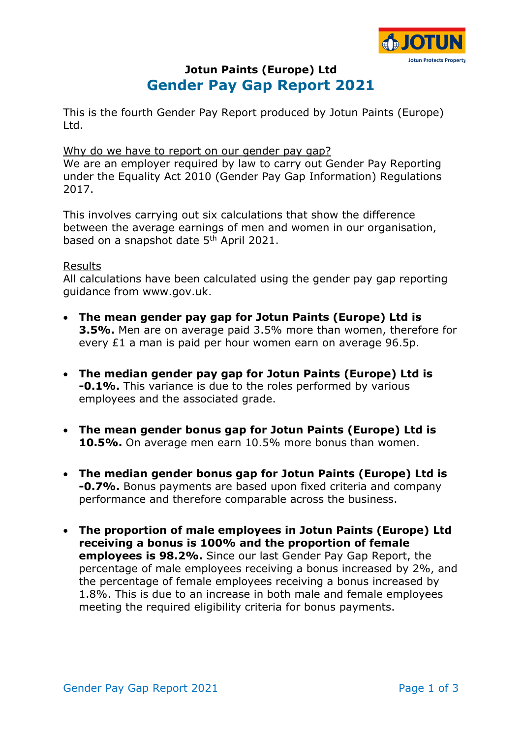

# **Jotun Paints (Europe) Ltd Gender Pay Gap Report 2021**

This is the fourth Gender Pay Report produced by Jotun Paints (Europe) Ltd.

#### Why do we have to report on our gender pay gap?

We are an employer required by law to carry out Gender Pay Reporting under the Equality Act 2010 (Gender Pay Gap Information) Regulations 2017.

This involves carrying out six calculations that show the difference between the average earnings of men and women in our organisation, based on a snapshot date 5<sup>th</sup> April 2021.

#### Results

All calculations have been calculated using the gender pay gap reporting guidance from www.gov.uk.

- **The mean gender pay gap for Jotun Paints (Europe) Ltd is 3.5%.** Men are on average paid 3.5% more than women, therefore for every £1 a man is paid per hour women earn on average 96.5p.
- **The median gender pay gap for Jotun Paints (Europe) Ltd is -0.1%.** This variance is due to the roles performed by various employees and the associated grade.
- **The mean gender bonus gap for Jotun Paints (Europe) Ltd is 10.5%.** On average men earn 10.5% more bonus than women.
- **The median gender bonus gap for Jotun Paints (Europe) Ltd is -0.7%.** Bonus payments are based upon fixed criteria and company performance and therefore comparable across the business.
- **The proportion of male employees in Jotun Paints (Europe) Ltd receiving a bonus is 100% and the proportion of female employees is 98.2%.** Since our last Gender Pay Gap Report, the percentage of male employees receiving a bonus increased by 2%, and the percentage of female employees receiving a bonus increased by 1.8%. This is due to an increase in both male and female employees meeting the required eligibility criteria for bonus payments.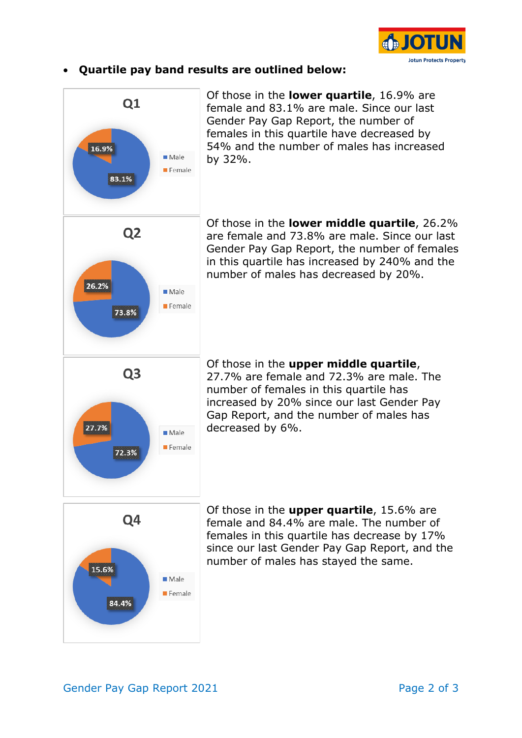

### • **Quartile pay band results are outlined below:**